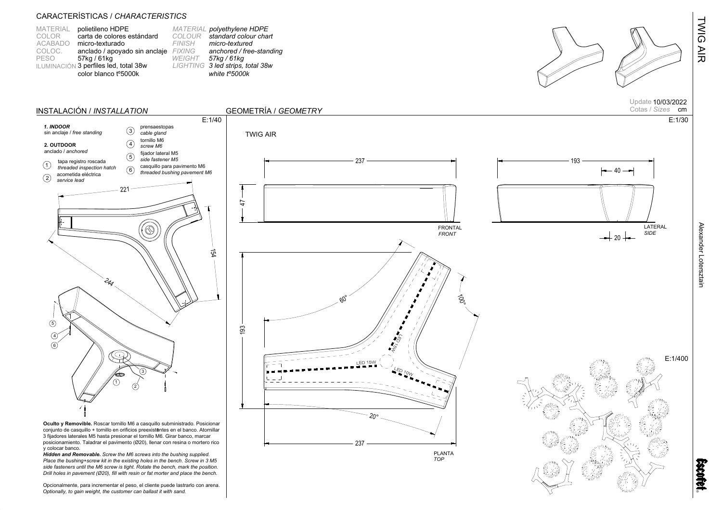| <b>MATERIAL</b> | polietileno HDPE                      | MA        |
|-----------------|---------------------------------------|-----------|
| COLOR           | carta de colores estándard            | CС        |
| <b>ACABADO</b>  | micro-texturado                       | FIN       |
| COLOC.          | anclado / apoyado sin anclaje         | FD        |
| <b>PESO</b>     | 57kg / 61kg                           | <b>WE</b> |
|                 | ILUMINACIÓN 3 perfiles led, total 38w | LIC       |
|                 | color blanco t°5000k                  |           |





Alexander Lotersztain

TWIG AIR